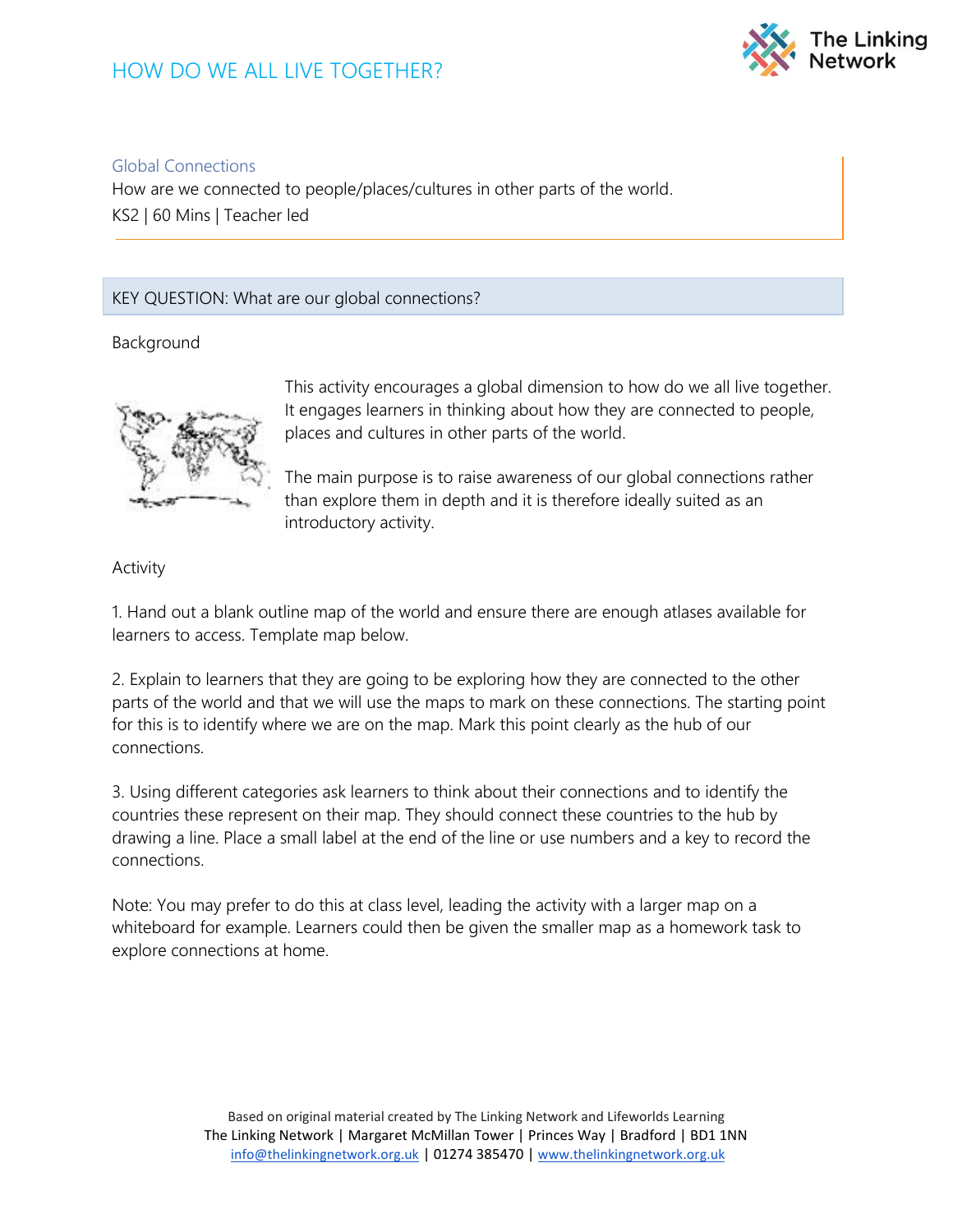## HOW DO WE ALL LIVE TOGETHER?



## Global Connections

How are we connected to people/places/cultures in other parts of the world. KS2 | 60 Mins | Teacher led

## KEY QUESTION: What are our global connections?

Background



This activity encourages a global dimension to how do we all live together. It engages learners in thinking about how they are connected to people, places and cultures in other parts of the world.

The main purpose is to raise awareness of our global connections rather than explore them in depth and it is therefore ideally suited as an introductory activity.

Activity

1. Hand out a blank outline map of the world and ensure there are enough atlases available for learners to access. Template map below.

2. Explain to learners that they are going to be exploring how they are connected to the other parts of the world and that we will use the maps to mark on these connections. The starting point for this is to identify where we are on the map. Mark this point clearly as the hub of our connections.

3. Using different categories ask learners to think about their connections and to identify the countries these represent on their map. They should connect these countries to the hub by drawing a line. Place a small label at the end of the line or use numbers and a key to record the connections.

Note: You may prefer to do this at class level, leading the activity with a larger map on a whiteboard for example. Learners could then be given the smaller map as a homework task to explore connections at home.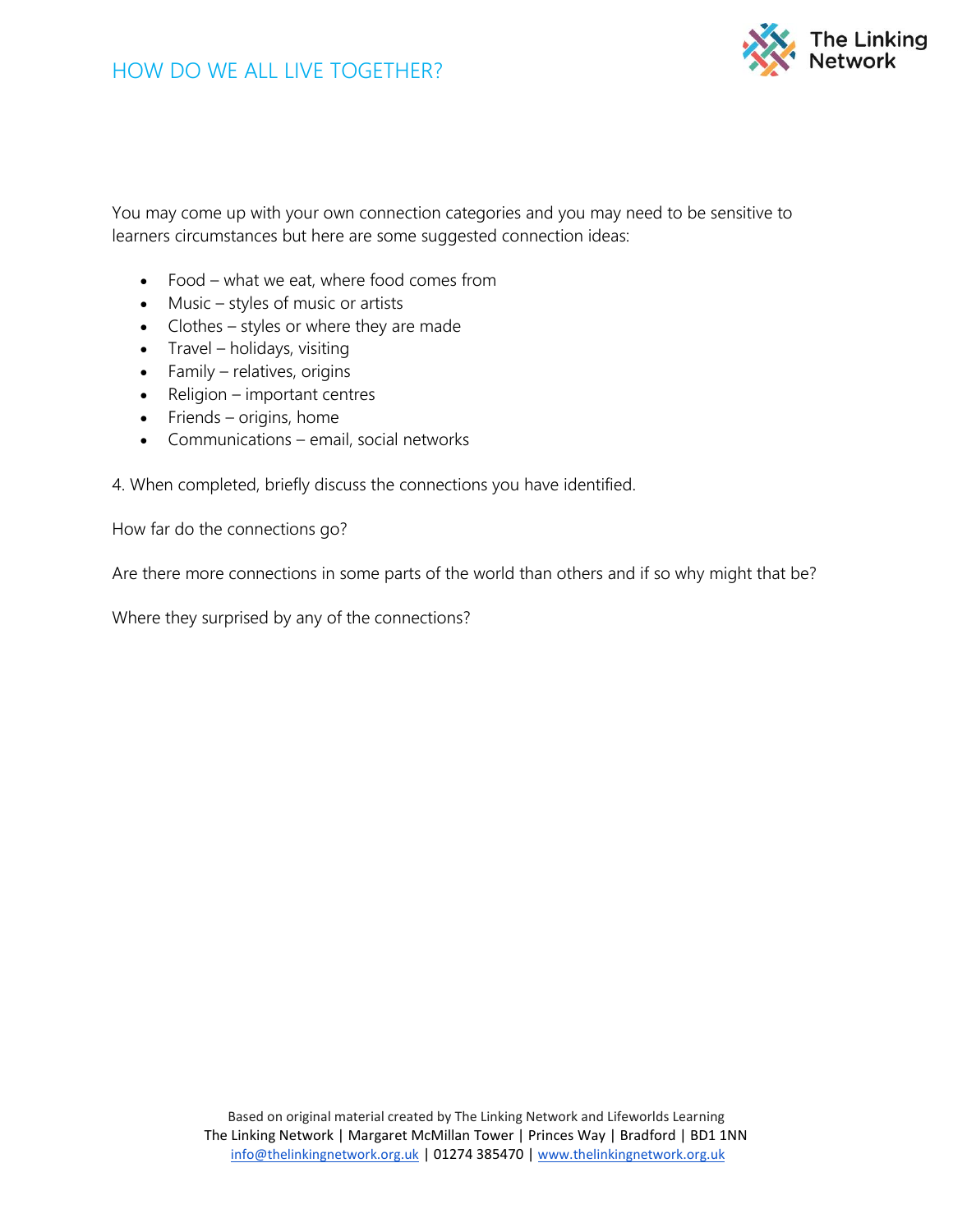

You may come up with your own connection categories and you may need to be sensitive to learners circumstances but here are some suggested connection ideas:

- Food what we eat, where food comes from
- Music styles of music or artists
- Clothes styles or where they are made
- Travel holidays, visiting
- Family relatives, origins
- Religion important centres
- $\bullet$  Friends origins, home
- Communications email, social networks

4. When completed, briefly discuss the connections you have identified.

How far do the connections go?

Are there more connections in some parts of the world than others and if so why might that be?

Where they surprised by any of the connections?